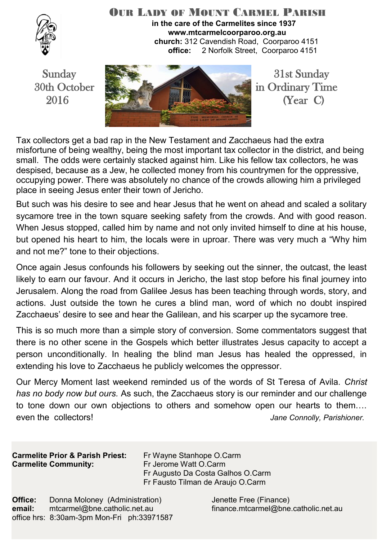

#### OUR LADY OF MOUNT CARMEL PARISH **in the care of the Carmelites since 1937 www.mtcarmelcoorparoo.org.au church:** 312 Cavendish Road, Coorparoo 4151 **office:** 2 Norfolk Street, Coorparoo 4151



Tax collectors get a bad rap in the New Testament and Zacchaeus had the extra misfortune of being wealthy, being the most important tax collector in the district, and being small. The odds were certainly stacked against him. Like his fellow tax collectors, he was despised, because as a Jew, he collected money from his countrymen for the oppressive, occupying power. There was absolutely no chance of the crowds allowing him a privileged place in seeing Jesus enter their town of Jericho.

But such was his desire to see and hear Jesus that he went on ahead and scaled a solitary sycamore tree in the town square seeking safety from the crowds. And with good reason. When Jesus stopped, called him by name and not only invited himself to dine at his house, but opened his heart to him, the locals were in uproar. There was very much a "Why him and not me?" tone to their objections.

Once again Jesus confounds his followers by seeking out the sinner, the outcast, the least likely to earn our favour. And it occurs in Jericho, the last stop before his final journey into Jerusalem. Along the road from Galilee Jesus has been teaching through words, story, and actions. Just outside the town he cures a blind man, word of which no doubt inspired Zacchaeus' desire to see and hear the Galilean, and his scarper up the sycamore tree.

This is so much more than a simple story of conversion. Some commentators suggest that there is no other scene in the Gospels which better illustrates Jesus capacity to accept a person unconditionally. In healing the blind man Jesus has healed the oppressed, in extending his love to Zacchaeus he publicly welcomes the oppressor.

Our Mercy Moment last weekend reminded us of the words of St Teresa of Avila. *Christ has no body now but ours.* As such, the Zacchaeus story is our reminder and our challenge to tone down our own objections to others and somehow open our hearts to them…. even the collectors! *Jane Connolly, Parishioner.*

**Carmelite Prior & Parish Priest:** Fr Wayne Stanhope O.Carm **Carmelite Community: Fr Jerome Watt O.Carm** 

 Fr Augusto Da Costa Galhos O.Carm Fr Fausto Tilman de Araujo O.Carm

**Office:** Donna Moloney (Administration) Jenette Free (Finance) **email:** mtcarmel@bne.catholic.net.au finance.mtcarmel@bne.catholic.net.au office hrs: 8:30am-3pm Mon-Fri ph:33971587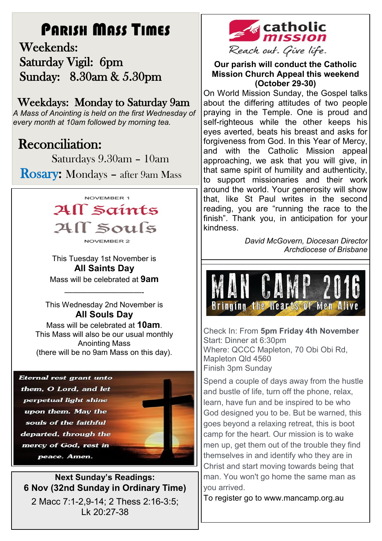# PARISH MASS TIMES

 Weekends: Saturday Vigil: 6pm Sunday: 8.30am & 5.30pm

# Weekdays: Monday to Saturday 9am

*A Mass of Anointing is held on the first Wednesday of every month at 10am followed by morning tea.*

# **Reconciliation:**

Saturdays 9.30am – 10am

Rosary: Mondays – after 9am Mass



This Tuesday 1st November is **All Saints Day**  Mass will be celebrated at **9am**

This Wednesday 2nd November is **All Souls Day** 

——————————-

Mass will be celebrated at **10am**. This Mass will also be our usual monthly Anointing Mass (there will be no 9am Mass on this day).

Eternal rest grant unto them, O Lord, and let perpetual light shine upon them. May the souls of the faithful departed, through the mercy of God, rest in peace. Amen.



**Next Sunday's Readings: 6 Nov (32nd Sunday in Ordinary Time)** 2 Macc 7:1-2,9-14; 2 Thess 2:16-3:5;

Lk 20:27-38



**Our parish will conduct the Catholic Mission Church Appeal this weekend (October 29-30)**

On World Mission Sunday, the Gospel talks about the differing attitudes of two people praying in the Temple. One is proud and self-righteous while the other keeps his eyes averted, beats his breast and asks for forgiveness from God. In this Year of Mercy, and with the Catholic Mission appeal approaching, we ask that you will give, in that same spirit of humility and authenticity, to support missionaries and their work around the world. Your generosity will show that, like St Paul writes in the second reading, you are "running the race to the finish". Thank you, in anticipation for your kindness.

> *David McGovern, Diocesan Director Archdiocese of Brisbane*



Check In: From **5pm Friday 4th November**  Start: Dinner at 6:30pm Where: QCCC Mapleton, 70 Obi Obi Rd, Mapleton Qld 4560 Finish 3pm Sunday

Spend a couple of days away from the hustle and bustle of life, turn off the phone, relax, learn, have fun and be inspired to be who God designed you to be. But be warned, this goes beyond a relaxing retreat, this is boot camp for the heart. Our mission is to wake men up, get them out of the trouble they find themselves in and identify who they are in Christ and start moving towards being that man. You won't go home the same man as you arrived.

To register go to www.mancamp.org.au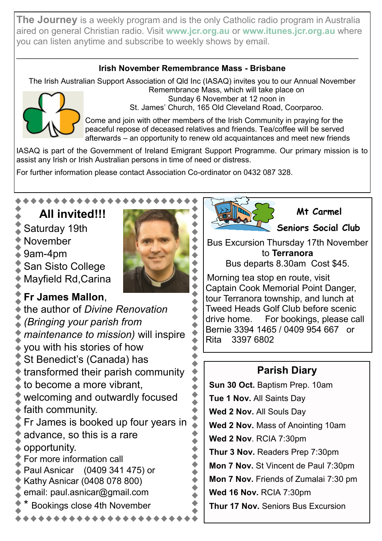**The Journey** is a weekly program and is the only Catholic radio program in Australia aired on general Christian radio. Visit **[www.jcr.org.au](http://dow.us10.list-manage.com/track/click?u=450e3870a5f08e5ab91ddaca4&id=1246c41ae7&e=4287bb6546)** or **[www.itunes.jcr.org.au](http://dow.us10.list-manage1.com/track/click?u=450e3870a5f08e5ab91ddaca4&id=a52c3dae34&e=4287bb6546)** where you can listen anytime and subscribe to weekly shows by email.

#### **Irish November Remembrance Mass - Brisbane**

 $\mathcal{L}_\mathcal{L} = \mathcal{L}_\mathcal{L} = \mathcal{L}_\mathcal{L} = \mathcal{L}_\mathcal{L} = \mathcal{L}_\mathcal{L} = \mathcal{L}_\mathcal{L} = \mathcal{L}_\mathcal{L} = \mathcal{L}_\mathcal{L} = \mathcal{L}_\mathcal{L} = \mathcal{L}_\mathcal{L} = \mathcal{L}_\mathcal{L} = \mathcal{L}_\mathcal{L} = \mathcal{L}_\mathcal{L} = \mathcal{L}_\mathcal{L} = \mathcal{L}_\mathcal{L} = \mathcal{L}_\mathcal{L} = \mathcal{L}_\mathcal{L}$ 

The Irish Australian Support Association of Qld Inc (IASAQ) invites you to our Annual November



Remembrance Mass, which will take place on Sunday 6 November at 12 noon in St. James' Church, 165 Old Cleveland Road, Coorparoo.

Come and join with other members of the Irish Community in praying for the peaceful repose of deceased relatives and friends. Tea/coffee will be served afterwards – an opportunity to renew old acquaintances and meet new friends

IASAQ is part of the Government of Ireland Emigrant Support Programme. Our primary mission is to assist any Irish or Irish Australian persons in time of need or distress.

For further information please contact Association Co-ordinator on 0432 087 328.

# **All invited!!!**

- Saturday 19th
- November
- 9am-4pm
- San Sisto College
- Mayfield Rd,Carina

# **Fr James Mallon**,

the author of *Divine Renovation (Bringing your parish from maintenance to mission)* will inspire you with his stories of how St Benedict's (Canada) has transformed their parish community to become a more vibrant, welcoming and outwardly focused faith community. Fr James is booked up four years in advance, so this is a rare opportunity. For more information call Paul Asnicar (0409 341 475) or Kathy Asnicar (0408 078 800) email: paul.asnicar@gmail.com Bookings close 4th November



 **Mt Carmel**

**Seniors Social Club** 

Bus Excursion Thursday 17th November to **Terranora** 

Bus departs 8.30am Cost \$45.

Morning tea stop en route, visit Captain Cook Memorial Point Danger, tour Terranora township, and lunch at Tweed Heads Golf Club before scenic drive home. For bookings, please call Bernie 3394 1465 / 0409 954 667 or Rita 3397 6802

# **Parish Diary**

**Sun 30 Oct.** Baptism Prep. 10am **Tue 1 Nov.** All Saints Day **Wed 2 Nov.** All Souls Day **Wed 2 Nov.** Mass of Anointing 10am **Wed 2 Nov**. RCIA 7:30pm **Thur 3 Nov.** Readers Prep 7:30pm **Mon 7 Nov.** St Vincent de Paul 7:30pm **Mon 7 Nov.** Friends of Zumalai 7:30 pm **Wed 16 Nov.** RCIA 7:30pm **Thur 17 Nov.** Seniors Bus Excursion